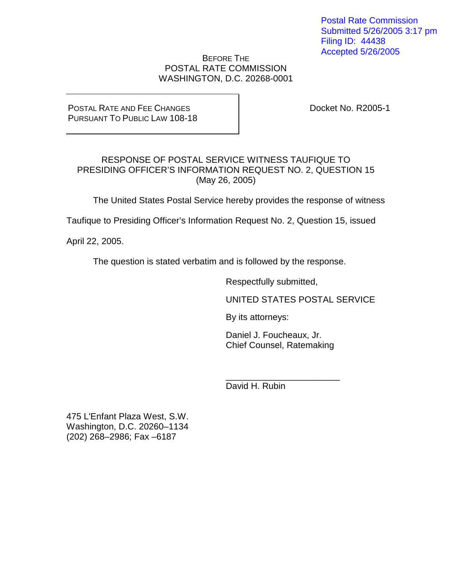Postal Rate Commission Submitted 5/26/2005 3:17 pm Filing ID: 44438 Accepted 5/26/2005

## BEFORE THE POSTAL RATE COMMISSION WASHINGTON, D.C. 20268-0001

### POSTAL RATE AND FEE CHANGES PURSUANT TO PUBLIC LAW 108-18

Docket No. R2005-1

# RESPONSE OF POSTAL SERVICE WITNESS TAUFIQUE TO PRESIDING OFFICER'S INFORMATION REQUEST NO. 2, QUESTION 15 (May 26, 2005)

The United States Postal Service hereby provides the response of witness

Taufique to Presiding Officer's Information Request No. 2, Question 15, issued

April 22, 2005.

The question is stated verbatim and is followed by the response.

Respectfully submitted,

UNITED STATES POSTAL SERVICE

By its attorneys:

Daniel J. Foucheaux, Jr. Chief Counsel, Ratemaking

\_\_\_\_\_\_\_\_\_\_\_\_\_\_\_\_\_\_\_\_\_\_\_

David H. Rubin

475 L'Enfant Plaza West, S.W. Washington, D.C. 20260–1134 (202) 268–2986; Fax –6187